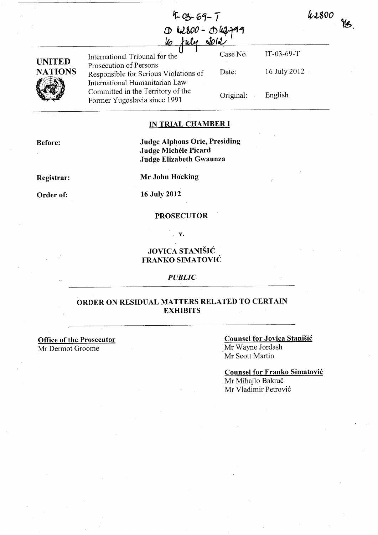42800  $\frac{1}{2}$ 

IT-03-69-T

English

16 July 2012

| $4 - 03 - 69 - 7$    |  |
|----------------------|--|
| $D$ $h2800 - Dh2999$ |  |
| 10 July 2012         |  |



Case No. International Tribunal for the Prosecution of Persons Date: Responsible for Serious Violations of International Humanitarian Law Committed in the Territory of the Original: Former Yugoslavia since 1991

# **IN TRIAL CHAMBER I**

**Before:** 

## **Judge Alphons Orie, Presiding Judge Michele Picard Judge Elizabeth Gwaunza**

**Registrar:** 

**Mr John Hocking** 

**Order of:** 

**16 July 2012** 

## **PROSECUTOR**

**v.** 

**JOVICA STANIŠIĆ FRANKO SIMATOVIC** 

#### *PUBLIC*

# **ORDER ON RESIDUAL MATTERS RELATED TO CERTAIN EXHIBITS**

**Office of the Prosecutor**  Mr Dermot Groome

## **Counsel for Jovica Stanisic**  Mr Wayne Jordash Mr Scott Martin

**Counsel for Franko Simatovic**  Mr Mihajlo Bakrač Mr Vladimir Petrovi6